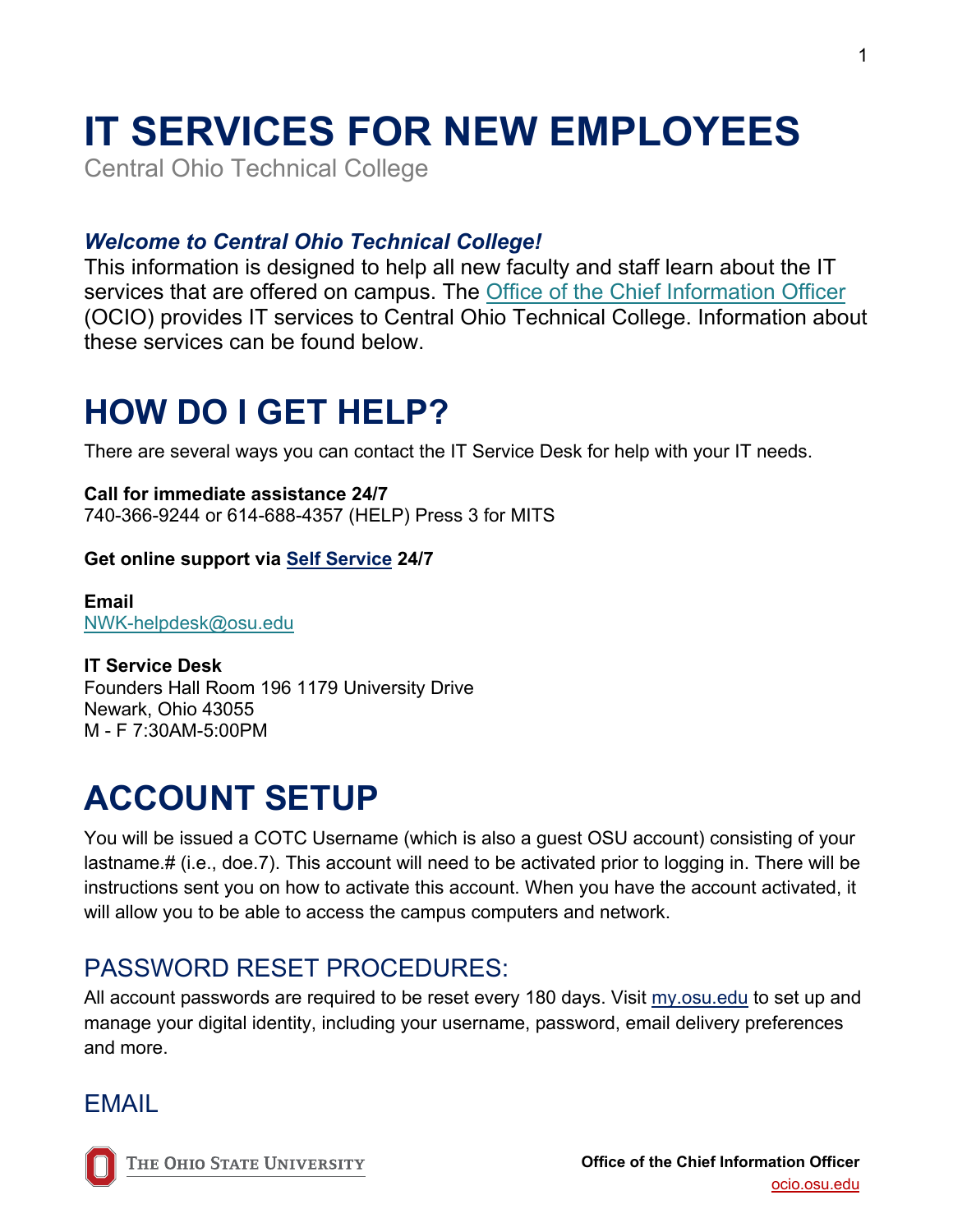# **IT SERVICES FOR NEW EMPLOYEES**

Central Ohio Technical College

#### *Welcome to Central Ohio Technical College!*

This information is designed to help all new faculty and staff learn about the IT services that are offered on campus. The [Office of the Chief Information Officer](https://ocio.osu.edu/) (OCIO) provides IT services to Central Ohio Technical College. Information about these services can be found below.

## **HOW DO I GET HELP?**

There are several ways you can contact the IT Service Desk for help with your IT needs.

**Call for immediate assistance 24/7** 740-366-9244 or 614-688-4357 (HELP) Press 3 for MITS

#### **Get online support via [Self Service](https://go.osu.edu/it) 24/7**

**Email** [NWK-helpdesk@osu.edu](mailto:NWK-helpdesk@osu.edu)

**IT Service Desk** Founders Hall Room 196 1179 University Drive Newark, Ohio 43055 M - F 7:30AM-5:00PM

## **ACCOUNT SETUP**

You will be issued a COTC Username (which is also a guest OSU account) consisting of your lastname.# (i.e., doe.7). This account will need to be activated prior to logging in. There will be instructions sent you on how to activate this account. When you have the account activated, it will allow you to be able to access the campus computers and network.

#### PASSWORD RESET PROCEDURES:

All account passwords are required to be reset every 180 days. Visit [my.osu.edu](https://my.osu.edu/) to set up and manage your digital identity, including your username, password, email delivery preferences and more.

#### EMAIL

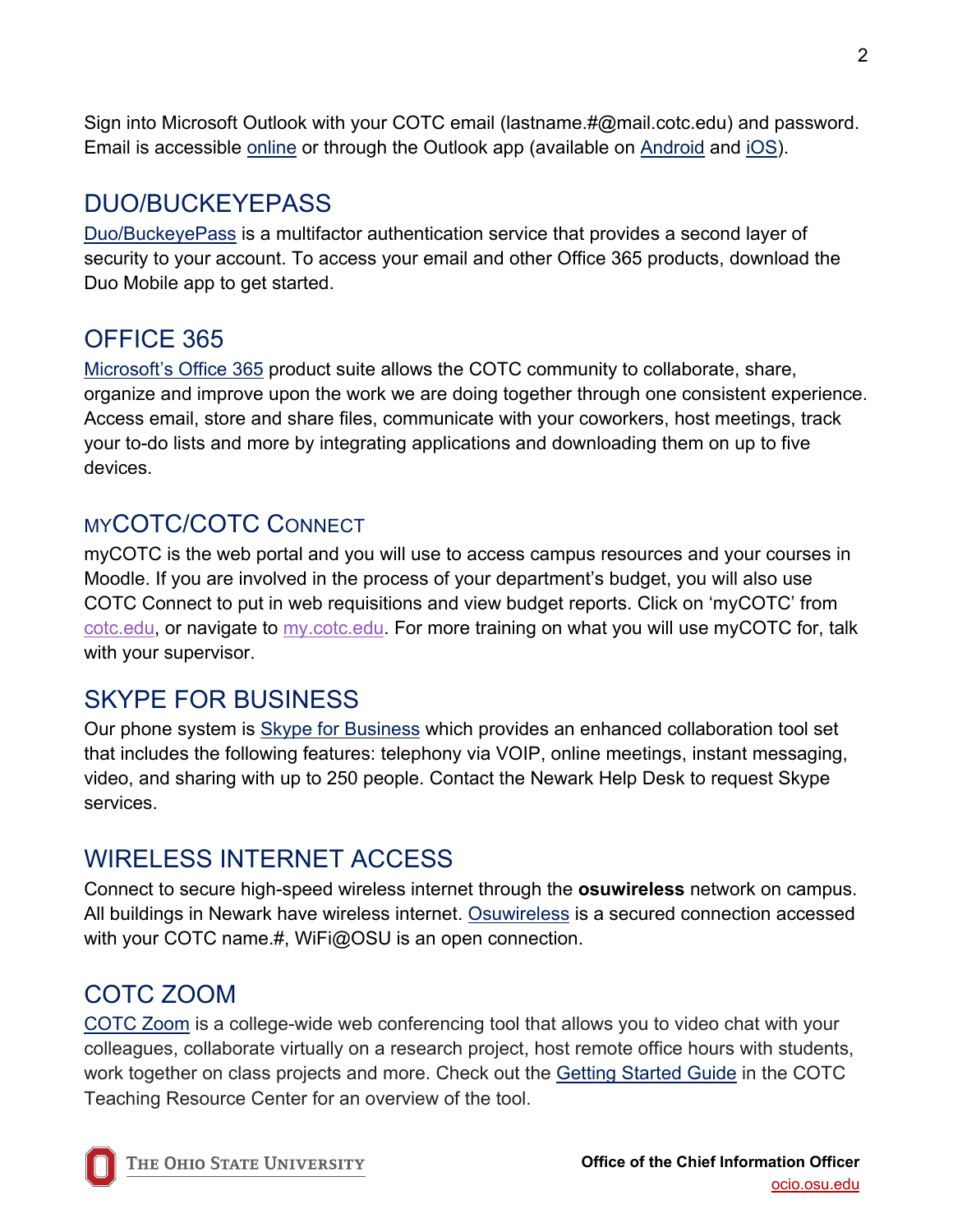Sign into Microsoft Outlook with your COTC email (lastname.#@mail.cotc.edu) and password. Email is accessible [online](https://office365.osu.edu/) or through the Outlook app (available on [Android](https://play.google.com/store/apps/details?id=com.microsoft.office.outlook&hl=en_US) and [iOS\)](https://apps.apple.com/us/app/microsoft-outlook/id951937596).

#### DUO/BUCKEYEPASS

[Duo/BuckeyePass](https://buckeyepass.osu.edu/) is a multifactor authentication service that provides a second layer of security to your account. To access your email and other Office 365 products, download the Duo Mobile app to get started.

### OFFICE 365

[Microsoft's Office 365](https://office365.osu.edu/) product suite allows the COTC community to collaborate, share, organize and improve upon the work we are doing together through one consistent experience. Access email, store and share files, communicate with your coworkers, host meetings, track your to-do lists and more by integrating applications and downloading them on up to five devices.

#### MYCOTC/COTC CONNECT

myCOTC is the web portal and you will use to access campus resources and your courses in Moodle. If you are involved in the process of your department's budget, you will also use COTC Connect to put in web requisitions and view budget reports. Click on 'myCOTC' from [cotc.edu, o](http://www.cotc.edu/)r navigate to [my.cotc.edu.](https://my.cotc.edu/) For more training on what you will use myCOTC for, talk with your supervisor.

### SKYPE FOR BUSINESS

Our phone system is [Skype for Business](https://u.osu.edu/skypeproject/) which provides an enhanced collaboration tool set that includes the following features: telephony via VOIP, online meetings, instant messaging, video, and sharing with up to 250 people. Contact the Newark Help Desk to request Skype services.

### WIRELESS INTERNET ACCESS

Connect to secure high-speed wireless internet through the **osuwireless** network on campus. All buildings in Newark have wireless internet. [Osuwireless](https://wireless.osu.edu/) is a secured connection accessed with your COTC name.#, WiFi@OSU is an open connection.

#### COTC ZOOM

[COTC Zoom](https://cotc-edu.zoom.us/) is a college-wide web conferencing tool that allows you to video chat with your colleagues, collaborate virtually on a research project, host remote office hours with students, work together on class projects and more. Check out the [Getting Started Guide](https://u.cotc.edu/teachingresources/getting-started-with-cotc-zoom/) in the COTC Teaching Resource Center for an overview of the tool.

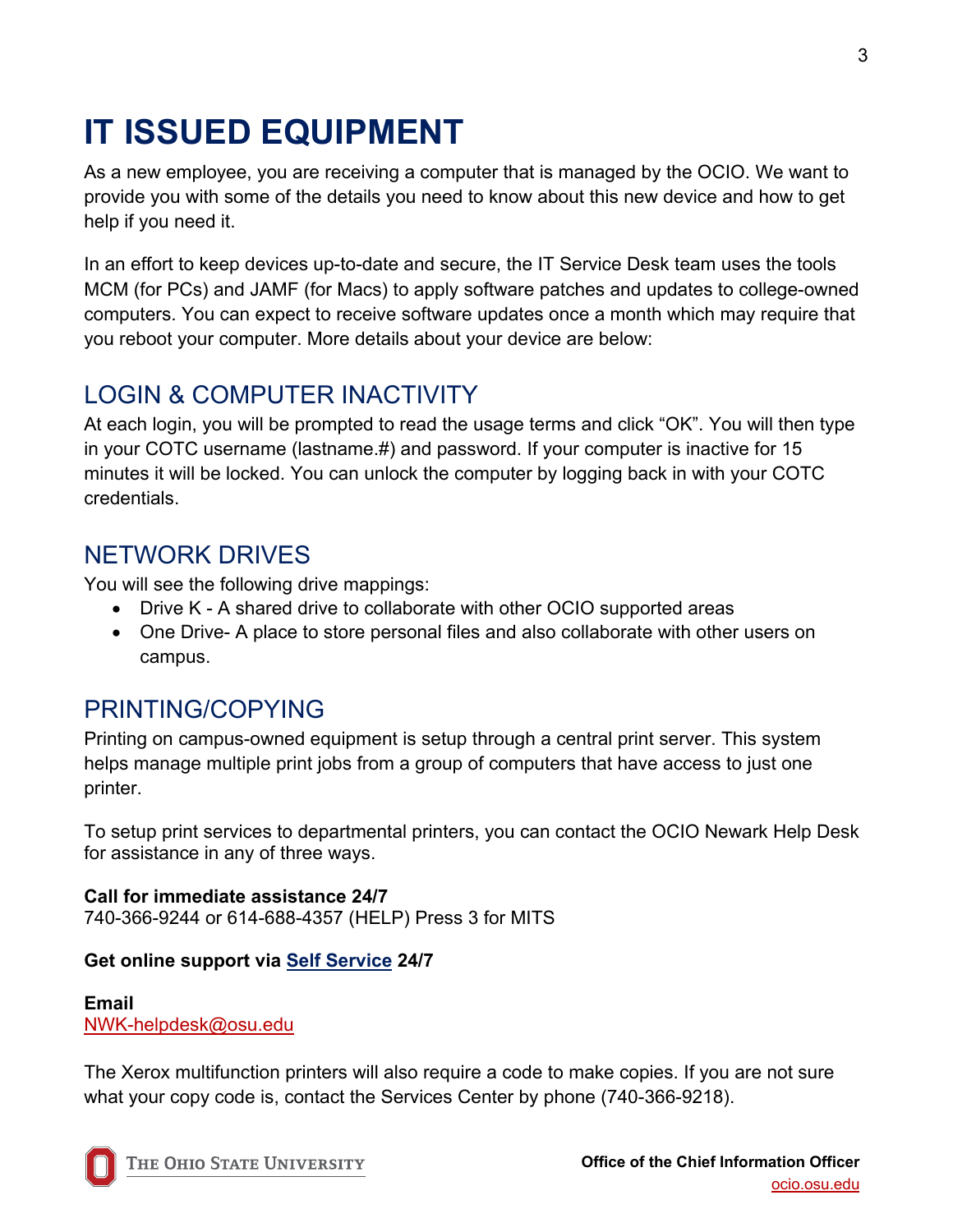## **IT ISSUED EQUIPMENT**

As a new employee, you are receiving a computer that is managed by the OCIO. We want to provide you with some of the details you need to know about this new device and how to get help if you need it.

In an effort to keep devices up-to-date and secure, the IT Service Desk team uses the tools MCM (for PCs) and JAMF (for Macs) to apply software patches and updates to college-owned computers. You can expect to receive software updates once a month which may require that you reboot your computer. More details about your device are below:

### LOGIN & COMPUTER INACTIVITY

At each login, you will be prompted to read the usage terms and click "OK". You will then type in your COTC username (lastname.#) and password. If your computer is inactive for 15 minutes it will be locked. You can unlock the computer by logging back in with your COTC credentials.

#### NETWORK DRIVES

You will see the following drive mappings:

- Drive K A shared drive to collaborate with other OCIO supported areas
- One Drive- A place to store personal files and also collaborate with other users on campus.

### PRINTING/COPYING

Printing on campus-owned equipment is setup through a central print server. This system helps manage multiple print jobs from a group of computers that have access to just one printer.

To setup print services to departmental printers, you can contact the OCIO Newark Help Desk for assistance in any of three ways.

**Call for immediate assistance 24/7** 740-366-9244 or 614-688-4357 (HELP) Press 3 for MITS

#### **Get online support via [Self Service](https://go.osu.edu/it) 24/7**

**Email** [NWK-helpdesk@osu.edu](mailto:NWK-helpdesk@osu.edu)

The Xerox multifunction printers will also require a code to make copies. If you are not sure what your copy code is, contact the Services Center by phone (740-366-9218).